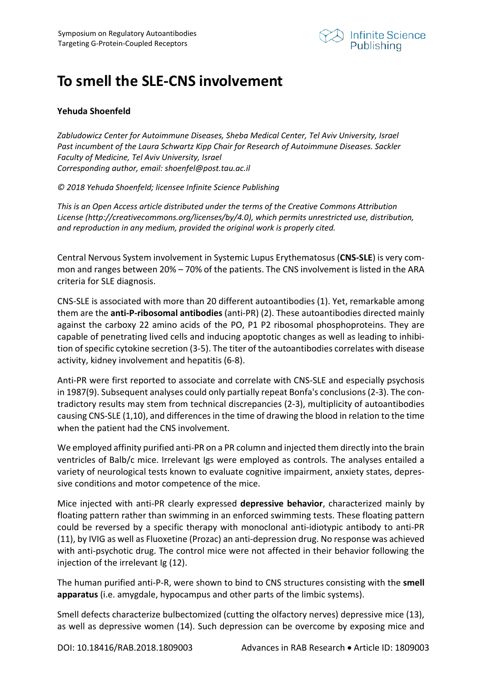

## **To smell the SLE-CNS involvement**

## **Yehuda Shoenfeld**

*Zabludowicz Center for Autoimmune Diseases, Sheba Medical Center, Tel Aviv University, Israel Past incumbent of the Laura Schwartz Kipp Chair for Research of Autoimmune Diseases. Sackler Faculty of Medicine, Tel Aviv University, Israel Corresponding author, email: shoenfel@post.tau.ac.il* 

*© 2018 Yehuda Shoenfeld; licensee Infinite Science Publishing*

*This is an Open Access article distributed under the terms of the Creative Commons Attribution License (http://creativecommons.org/licenses/by/4.0), which permits unrestricted use, distribution, and reproduction in any medium, provided the original work is properly cited.* 

Central Nervous System involvement in Systemic Lupus Erythematosus (**CNS-SLE**) is very common and ranges between 20% – 70% of the patients. The CNS involvement is listed in the ARA criteria for SLE diagnosis.

CNS-SLE is associated with more than 20 different autoantibodies (1). Yet, remarkable among them are the **anti-P-ribosomal antibodies** (anti-PR) (2). These autoantibodies directed mainly against the carboxy 22 amino acids of the PO, P1 P2 ribosomal phosphoproteins. They are capable of penetrating lived cells and inducing apoptotic changes as well as leading to inhibition of specific cytokine secretion (3-5). The titer of the autoantibodies correlates with disease activity, kidney involvement and hepatitis (6-8).

Anti-PR were first reported to associate and correlate with CNS-SLE and especially psychosis in 1987(9). Subsequent analyses could only partially repeat Bonfa's conclusions (2-3). The contradictory results may stem from technical discrepancies (2-3), multiplicity of autoantibodies causing CNS-SLE (1,10), and differences in the time of drawing the blood in relation to the time when the patient had the CNS involvement.

We employed affinity purified anti-PR on a PR column and injected them directly into the brain ventricles of Balb/c mice. Irrelevant Igs were employed as controls. The analyses entailed a variety of neurological tests known to evaluate cognitive impairment, anxiety states, depressive conditions and motor competence of the mice.

Mice injected with anti-PR clearly expressed **depressive behavior**, characterized mainly by floating pattern rather than swimming in an enforced swimming tests. These floating pattern could be reversed by a specific therapy with monoclonal anti-idiotypic antibody to anti-PR (11), by IVIG as well as Fluoxetine (Prozac) an anti-depression drug. No response was achieved with anti-psychotic drug. The control mice were not affected in their behavior following the injection of the irrelevant Ig (12).

The human purified anti-P-R, were shown to bind to CNS structures consisting with the **smell apparatus** (i.e. amygdale, hypocampus and other parts of the limbic systems).

Smell defects characterize bulbectomized (cutting the olfactory nerves) depressive mice (13), as well as depressive women (14). Such depression can be overcome by exposing mice and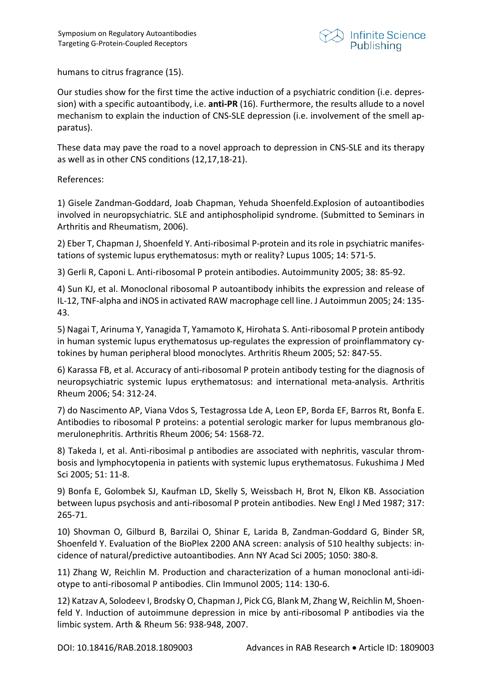

humans to citrus fragrance (15).

Our studies show for the first time the active induction of a psychiatric condition (i.e. depression) with a specific autoantibody, i.e. **anti-PR** (16). Furthermore, the results allude to a novel mechanism to explain the induction of CNS-SLE depression (i.e. involvement of the smell apparatus).

These data may pave the road to a novel approach to depression in CNS-SLE and its therapy as well as in other CNS conditions (12,17,18-21).

References:

1) Gisele Zandman-Goddard, Joab Chapman, Yehuda Shoenfeld.Explosion of autoantibodies involved in neuropsychiatric. SLE and antiphospholipid syndrome. (Submitted to Seminars in Arthritis and Rheumatism, 2006).

2) Eber T, Chapman J, Shoenfeld Y. Anti-ribosimal P-protein and its role in psychiatric manifestations of systemic lupus erythematosus: myth or reality? Lupus 1005; 14: 571-5.

3) Gerli R, Caponi L. Anti-ribosomal P protein antibodies. Autoimmunity 2005; 38: 85-92.

4) Sun KJ, et al. Monoclonal ribosomal P autoantibody inhibits the expression and release of IL-12, TNF-alpha and iNOS in activated RAW macrophage cell line. J Autoimmun 2005; 24: 135- 43.

5) Nagai T, Arinuma Y, Yanagida T, Yamamoto K, Hirohata S. Anti-ribosomal P protein antibody in human systemic lupus erythematosus up-regulates the expression of proinflammatory cytokines by human peripheral blood monoclytes. Arthritis Rheum 2005; 52: 847-55.

6) Karassa FB, et al. Accuracy of anti-ribosomal P protein antibody testing for the diagnosis of neuropsychiatric systemic lupus erythematosus: and international meta-analysis. Arthritis Rheum 2006; 54: 312-24.

7) do Nascimento AP, Viana Vdos S, Testagrossa Lde A, Leon EP, Borda EF, Barros Rt, Bonfa E. Antibodies to ribosomal P proteins: a potential serologic marker for lupus membranous glomerulonephritis. Arthritis Rheum 2006; 54: 1568-72.

8) Takeda I, et al. Anti-ribosimal p antibodies are associated with nephritis, vascular thrombosis and lymphocytopenia in patients with systemic lupus erythematosus. Fukushima J Med Sci 2005; 51: 11-8.

9) Bonfa E, Golombek SJ, Kaufman LD, Skelly S, Weissbach H, Brot N, Elkon KB. Association between lupus psychosis and anti-ribosomal P protein antibodies. New Engl J Med 1987; 317: 265-71.

10) Shovman O, Gilburd B, Barzilai O, Shinar E, Larida B, Zandman-Goddard G, Binder SR, Shoenfeld Y. Evaluation of the BioPlex 2200 ANA screen: analysis of 510 healthy subjects: incidence of natural/predictive autoantibodies. Ann NY Acad Sci 2005; 1050: 380-8.

11) Zhang W, Reichlin M. Production and characterization of a human monoclonal anti-idiotype to anti-ribosomal P antibodies. Clin Immunol 2005; 114: 130-6.

12) Katzav A, Solodeev I, Brodsky O, Chapman J, Pick CG, Blank M, Zhang W, Reichlin M, Shoenfeld Y. Induction of autoimmune depression in mice by anti-ribosomal P antibodies via the limbic system. Arth & Rheum 56: 938-948, 2007.